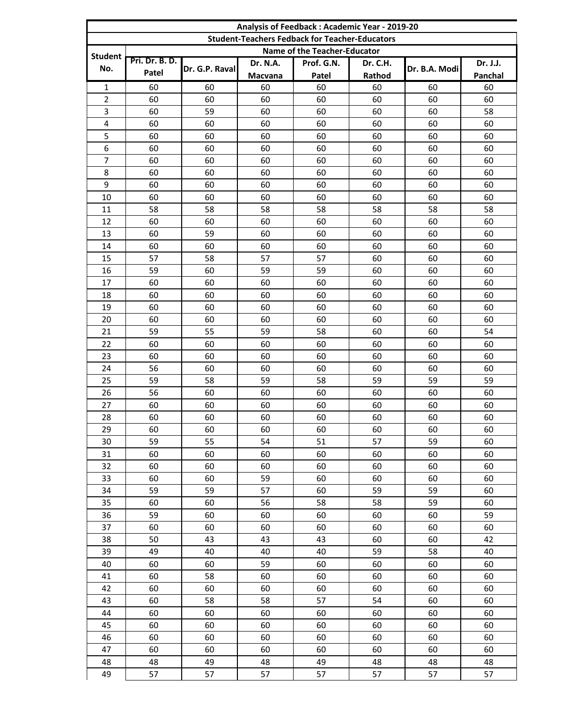| Analysis of Feedback: Academic Year - 2019-20 |                                                       |                |                 |                              |                 |               |          |  |
|-----------------------------------------------|-------------------------------------------------------|----------------|-----------------|------------------------------|-----------------|---------------|----------|--|
|                                               | <b>Student-Teachers Fedback for Teacher-Educators</b> |                |                 |                              |                 |               |          |  |
| <b>Student</b>                                |                                                       |                |                 | Name of the Teacher-Educator |                 |               |          |  |
|                                               | Pri. Dr. B. D.                                        |                | <b>Dr. N.A.</b> | Prof. G.N.                   | <b>Dr. C.H.</b> |               | Dr. J.J. |  |
| No.                                           | Patel                                                 | Dr. G.P. Raval | Macvana         | Patel                        | Rathod          | Dr. B.A. Modi | Panchal  |  |
| 1                                             | 60                                                    | 60             | 60              | 60                           | 60              | 60            | 60       |  |
| $\overline{2}$                                | 60                                                    | 60             | 60              | 60                           | 60              | 60            | 60       |  |
| 3                                             | 60                                                    | 59             | 60              | 60                           | 60              | 60            | 58       |  |
| 4                                             | 60                                                    | 60             | 60              | 60                           | 60              | 60            | 60       |  |
| 5                                             | 60                                                    | 60             | 60              | 60                           | 60              | 60            | 60       |  |
| $6\phantom{1}6$                               | 60                                                    | 60             | 60              | 60                           | 60              | 60            | 60       |  |
| $\overline{7}$                                | 60                                                    | 60             | 60              | 60                           | 60              | 60            | 60       |  |
| 8                                             | 60                                                    | 60             | 60              | 60                           | 60              | 60            | 60       |  |
| 9                                             | 60                                                    | 60             | 60              | 60                           | 60              | 60            | 60       |  |
| 10                                            | 60                                                    | 60             | 60              | 60                           | 60              | 60            | 60       |  |
| 11                                            | 58                                                    | 58             | 58              | 58                           | 58              | 58            | 58       |  |
| 12                                            | 60                                                    | 60             | 60              | 60                           | 60              | 60            | 60       |  |
| 13                                            | 60                                                    | 59             | 60              | 60                           | 60              | 60            | 60       |  |
| 14                                            | 60                                                    | 60             | 60              | 60                           | 60              | 60            | 60       |  |
| 15                                            | 57                                                    | 58             | 57              | 57                           | 60              | 60            | 60       |  |
| 16                                            | 59                                                    | 60             | 59              | 59                           | 60              | 60            | 60       |  |
| 17                                            | 60                                                    | 60             | 60              | 60                           | 60              | 60            | 60       |  |
| 18                                            | 60                                                    | 60             | 60              | 60                           | 60              | 60            | 60       |  |
| 19                                            | 60                                                    | 60             | 60              | 60                           | 60              | 60            | 60       |  |
| 20                                            | 60                                                    | 60             | 60              | 60                           | 60              | 60            | 60       |  |
| 21                                            | 59                                                    | 55             | 59              | 58                           | 60              | 60            | 54       |  |
| 22                                            | 60                                                    | 60             | 60              | 60                           | 60              | 60            | 60       |  |
| 23                                            | 60                                                    | 60             | 60              | 60                           | 60              | 60            | 60       |  |
| 24                                            | 56                                                    | 60             | 60              | 60                           | 60              | 60            | 60       |  |
| 25                                            | 59                                                    | 58             | 59              | 58                           | 59              | 59            | 59       |  |
| 26                                            | 56                                                    | 60             | 60              | 60                           | 60              | 60            | 60       |  |
| 27                                            | 60                                                    | 60             | 60              | 60                           | 60              | 60            | 60       |  |
| 28                                            | 60                                                    | 60             | 60              | 60                           | 60              | 60            | 60       |  |
| 29                                            | 60                                                    | 60             | 60              | 60                           | 60              | 60            | 60       |  |
| 30                                            | 59                                                    | 55             | 54              | 51                           | 57              | 59            | 60       |  |
| 31                                            | 60                                                    | 60             | 60              | 60                           | 60              | 60            | 60       |  |
| 32                                            | 60                                                    | 60             | 60              | 60                           | 60              | 60            | 60       |  |
| 33                                            | 60                                                    | 60             | 59              | 60                           | 60              | 60            | 60       |  |
| 34                                            | 59                                                    | 59             | 57              | 60                           | 59              | 59            | 60       |  |
| 35                                            | 60                                                    | 60             | 56              | 58                           | 58              | 59            | 60       |  |
| 36                                            | 59                                                    | 60             | 60              | 60                           | 60              | 60            | 59       |  |
| 37                                            | 60                                                    | 60             | 60              | 60                           | 60              | 60            | 60       |  |
| 38                                            | 50                                                    | 43             | 43              | 43                           | 60              | 60            | 42       |  |
| 39                                            | 49                                                    | 40             | 40              | 40                           | 59              | 58            | 40       |  |
| 40                                            | 60                                                    | 60             | 59              | 60                           | 60              | 60            | 60       |  |
| 41                                            | 60                                                    | 58             | 60              | 60                           | 60              | 60            | 60       |  |
| 42                                            | 60                                                    | 60             | 60              | 60                           | 60              | 60            | 60       |  |
| 43                                            | 60                                                    | 58             | 58              | 57                           | 54              | 60            | 60       |  |
| 44                                            | 60                                                    | 60             | 60              | 60                           | 60              | 60            | 60       |  |
| 45                                            | 60                                                    | 60             | 60              | 60                           | 60              | 60            | 60       |  |
| 46                                            | 60                                                    | 60             | 60              | 60                           | 60              | 60            | 60       |  |
| 47                                            | 60                                                    | 60             | 60              | 60                           | 60              | 60            | 60       |  |
| 48                                            | 48                                                    | 49             | 48              | 49                           | 48              | 48            | 48       |  |
| 49                                            | 57                                                    | 57             | 57              | 57                           | 57              | 57            | 57       |  |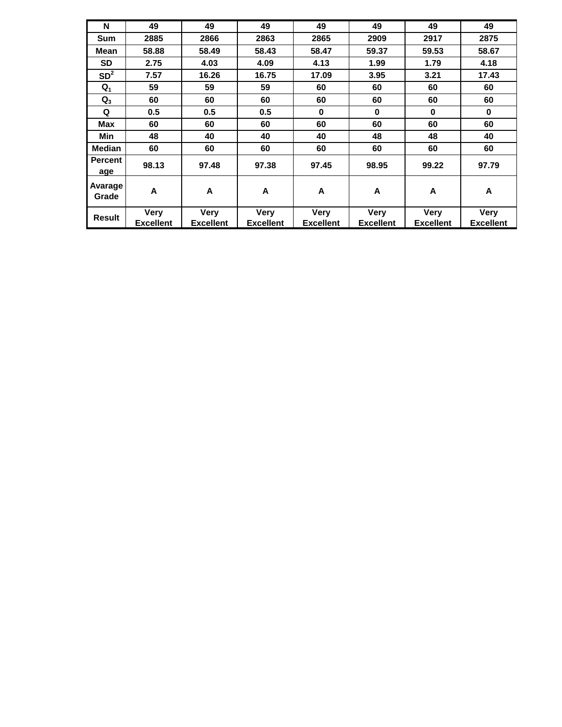| N                | 49               | 49               | 49               | 49               | 49               | 49               | 49               |
|------------------|------------------|------------------|------------------|------------------|------------------|------------------|------------------|
| Sum              | 2885             | 2866             | 2863             | 2865             | 2909             | 2917             | 2875             |
| Mean             | 58.88            | 58.49            | 58.43            | 58.47            | 59.37            | 59.53            | 58.67            |
| <b>SD</b>        | 2.75             | 4.03             | 4.09             | 4.13             | 1.99             | 1.79             | 4.18             |
| SD <sup>2</sup>  | 7.57             | 16.26            | 16.75            | 17.09            | 3.95             | 3.21             | 17.43            |
| $Q_1$            | 59               | 59               | 59               | 60               | 60               | 60               | 60               |
| $Q_3$            | 60               | 60               | 60               | 60               | 60               | 60               | 60               |
| Q                | 0.5              | 0.5              | 0.5              | $\bf{0}$         | $\bf{0}$         | 0                | 0                |
| Max              | 60               | 60               | 60               | 60               | 60               | 60               | 60               |
| Min              | 48               | 40               | 40               | 40               | 48               | 48               | 40               |
| <b>Median</b>    | 60               | 60               | 60               | 60               | 60               | 60               | 60               |
| Percent<br>age   | 98.13            | 97.48            | 97.38            | 97.45            | 98.95            | 99.22            | 97.79            |
| Avarage<br>Grade | A                | A                | A                | A                | A                | A                | A                |
| <b>Result</b>    | <b>Very</b>      | <b>Very</b>      | <b>Very</b>      | <b>Very</b>      | <b>Very</b>      | Very             | <b>Very</b>      |
|                  | <b>Excellent</b> | <b>Excellent</b> | <b>Excellent</b> | <b>Excellent</b> | <b>Excellent</b> | <b>Excellent</b> | <b>Excellent</b> |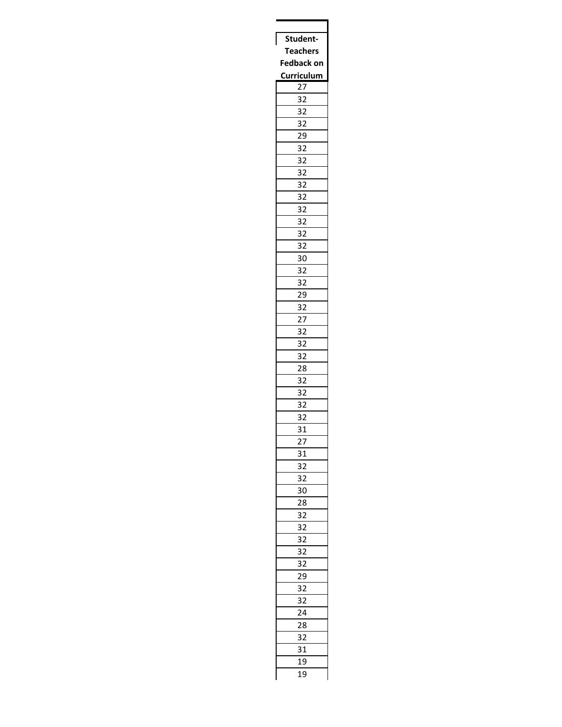| Student                    |
|----------------------------|
| <b>Teachers</b>            |
| <b>Fedback on</b>          |
| Curriculum                 |
| $\overline{27}$            |
| 32                         |
| 32                         |
| 32                         |
| _<br>29                    |
| 32                         |
|                            |
| $\ddot{\phantom{0}}$<br>32 |
| 32                         |
| _<br>32                    |
| 32                         |
| 32                         |
| 32                         |
| .<br>32                    |
| $3\overline{2}$            |
| 30                         |
| 32                         |
| 32                         |
| 29                         |
| 32                         |
| 27                         |
| 32                         |
| _<br>32                    |
| $\overline{32}$            |
| 28                         |
|                            |
| 32                         |
| 32                         |
| 32                         |
| 32                         |
| 31                         |
| $^{27}$                    |
| 31                         |
| $\overline{32}$            |
| í<br>32                    |
| 30                         |
| 28                         |
| 32                         |
| $\overline{32}$<br>í       |
| 32                         |
| 32                         |
| 32                         |
| 29                         |
| 32                         |
|                            |
| 32                         |
| 24                         |
| 28                         |
| 32                         |
| 31                         |
| 19                         |
| 19                         |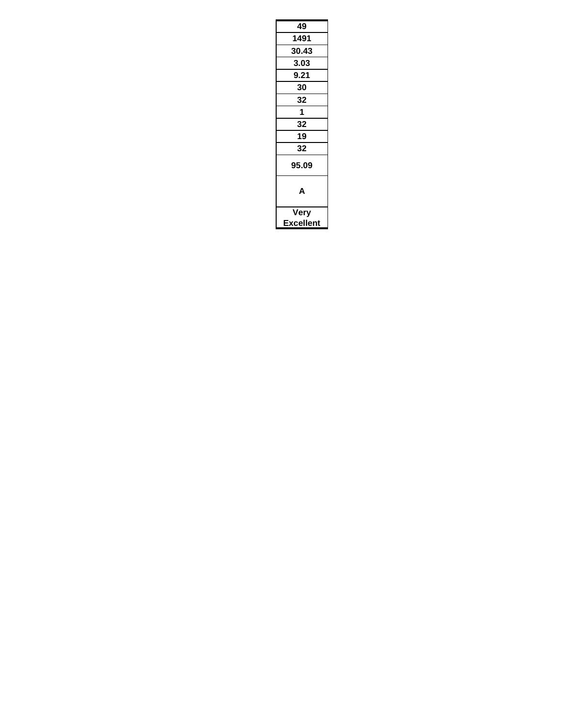| 49        |
|-----------|
| 1491      |
| 30.43     |
| 3.03      |
| 9.21      |
| 30        |
| 32        |
| 1         |
| 32        |
| 19        |
| 32        |
| 95.09     |
| Δ         |
| Very      |
| Excellent |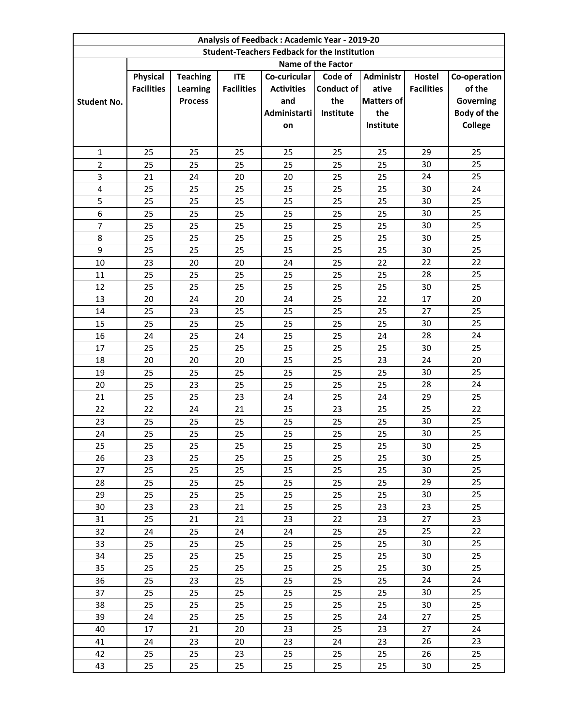|                    | Analysis of Feedback: Academic Year - 2019-20       |                 |                   |                   |                    |                   |                   |                |
|--------------------|-----------------------------------------------------|-----------------|-------------------|-------------------|--------------------|-------------------|-------------------|----------------|
|                    | <b>Student-Teachers Fedback for the Institution</b> |                 |                   |                   |                    |                   |                   |                |
|                    |                                                     |                 |                   |                   | Name of the Factor |                   |                   |                |
|                    | Physical                                            | <b>Teaching</b> | <b>ITE</b>        | Co-curicular      | Code of            | <b>Administr</b>  | Hostel            | Co-operation   |
|                    | <b>Facilities</b>                                   | <b>Learning</b> | <b>Facilities</b> | <b>Activities</b> | Conduct of         | ative             | <b>Facilities</b> | of the         |
| <b>Student No.</b> |                                                     | <b>Process</b>  |                   | and               | the                | <b>Matters of</b> |                   | Governing      |
|                    |                                                     |                 |                   | Administarti      | Institute          | the               |                   | Body of the    |
|                    |                                                     |                 |                   | on                |                    | Institute         |                   | <b>College</b> |
|                    |                                                     |                 |                   |                   |                    |                   |                   |                |
| $\mathbf{1}$       | 25                                                  | 25              | 25                | 25                | 25                 | 25                | 29                | 25             |
| $\overline{2}$     | 25                                                  | 25              | 25                | 25                | 25                 | 25                | 30                | 25             |
| 3                  | 21                                                  | 24              | 20                | 20                | 25                 | 25                | 24                | 25             |
| 4                  | 25                                                  | 25              | 25                | 25                | 25                 | 25                | 30                | 24             |
| 5                  | 25                                                  | 25              | 25                | 25                | 25                 | 25                | 30                | 25             |
| 6                  | 25                                                  | 25              | 25                | 25                | 25                 | 25                | 30                | 25             |
| $\overline{7}$     | 25                                                  | 25              | 25                | 25                | 25                 | 25                | 30                | 25             |
| 8                  | 25                                                  | 25              | 25                | 25                | 25                 | 25                | 30                | 25             |
| 9                  | 25                                                  | 25              | 25                | 25                | 25                 | 25                | 30                | 25             |
| 10                 | 23                                                  | 20              | 20                | 24                | 25                 | 22                | 22                | 22             |
| 11                 | 25                                                  | 25              | 25                | 25                | 25                 | 25                | 28                | 25             |
| 12                 | 25                                                  | 25              | 25                | 25                | 25                 | 25                | 30                | 25             |
| 13                 | 20                                                  | 24              | 20                | 24                | 25                 | 22                | 17                | 20             |
| 14                 | 25                                                  | 23              | 25                | 25                | 25                 | 25                | 27                | 25             |
| 15                 | 25                                                  | 25              | 25                | 25                | 25                 | 25                | 30                | 25             |
| 16                 | 24                                                  | 25              | 24                | 25                | 25                 | 24                | 28                | 24             |
| 17                 | 25                                                  | 25              | 25                | 25                | 25                 | 25                | 30                | 25             |
| 18                 | 20                                                  | 20              | 20                | 25                | 25                 | 23                | 24                | 20             |
| 19                 | 25                                                  | 25              | 25                | 25                | 25                 | 25                | 30                | 25             |
| 20                 | 25                                                  | 23              | 25                | 25                | 25                 | 25                | 28                | 24             |
| 21                 | 25                                                  | 25              | 23                | 24                | 25                 | 24                | 29                | 25             |
| 22                 | 22                                                  | 24              | 21                | 25                | 23                 | 25                | 25                | 22             |
| 23                 | 25                                                  | 25              | 25                | 25                | 25                 | 25                | 30                | 25             |
| 24                 | 25                                                  | 25              | 25                | 25                | 25                 | 25                | 30                | 25             |
| 25                 | 25                                                  | 25              | 25                | 25                | 25                 | 25                | $30\,$            | 25             |
| 26                 | 23                                                  | 25              | 25                | 25                | 25                 | 25                | 30                | 25             |
| 27                 | 25                                                  | 25              | 25                | 25                | 25                 | 25                | 30                | 25             |
| 28                 | 25                                                  | 25              | 25                | 25                | 25                 | 25                | 29                | 25             |
| 29                 | 25                                                  | 25              | 25                | 25                | 25                 | 25                | 30                | 25             |
| 30                 | 23                                                  | 23              | 21                | 25                | 25                 | 23                | 23                | 25             |
| 31                 | 25                                                  | 21              | 21                | 23                | 22                 | 23                | 27                | 23             |
| 32                 | 24                                                  | 25              | 24                | 24                | 25                 | 25                | 25                | 22             |
| 33                 | 25                                                  | 25              | 25                | 25                | 25                 | 25                | 30                | 25             |
| 34                 | 25                                                  | 25              | 25                | 25                | 25                 | 25                | 30                | 25             |
| 35                 | 25                                                  | 25              | 25                | 25                | 25                 | 25                | 30                | 25             |
| 36                 | 25                                                  | 23              | 25                | 25                | 25                 | 25                | 24                | 24             |
| 37                 | 25                                                  | 25              | 25                | 25                | 25                 | 25                | 30                | 25             |
| 38                 | 25                                                  | 25              | 25                | 25                | 25                 | 25                | 30                | 25             |
| 39                 | 24                                                  | 25              | 25                | 25                | 25                 | 24                | 27                | 25             |
| 40                 | 17                                                  | 21              | 20                | 23                | 25                 | 23                | 27                | 24             |
| 41                 | 24                                                  | 23              | 20                | 23                | 24                 | 23                | 26                | 23             |
| 42                 | 25                                                  | 25              | 23                | 25                | 25                 | 25                | 26                | 25             |
| 43                 | 25                                                  | 25              | 25                | 25                | 25                 | 25                | 30                | 25             |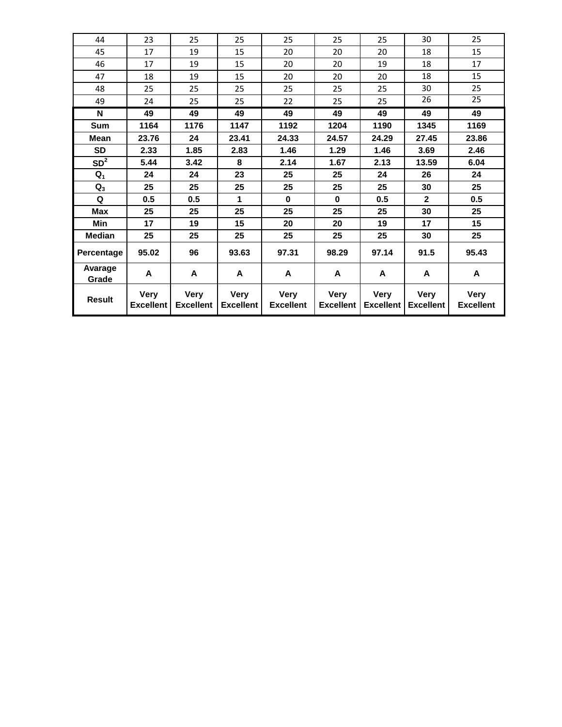| 44               | 23                              | 25                              | 25                              | 25                              | 25                              | 25                              | 30                              | 25                              |
|------------------|---------------------------------|---------------------------------|---------------------------------|---------------------------------|---------------------------------|---------------------------------|---------------------------------|---------------------------------|
| 45               | 17                              | 19                              | 15                              | 20                              | 20                              | 20                              | 18                              | 15                              |
| 46               | 17                              | 19                              | 15                              | 20                              | 20                              | 19                              | 18                              | 17                              |
| 47               | 18                              | 19                              | 15                              | 20                              | 20                              | 20                              | 18                              | 15                              |
| 48               | 25                              | 25                              | 25                              | 25                              | 25                              | 25                              | 30                              | 25                              |
| 49               | 24                              | 25                              | 25                              | 22                              | 25                              | 25                              | 26                              | $\overline{25}$                 |
| N                | 49                              | 49                              | 49                              | 49                              | 49                              | 49                              | 49                              | 49                              |
| <b>Sum</b>       | 1164                            | 1176                            | 1147                            | 1192                            | 1204                            | 1190                            | 1345                            | 1169                            |
| <b>Mean</b>      | 23.76                           | 24                              | 23.41                           | 24.33                           | 24.57                           | 24.29                           | 27.45                           | 23.86                           |
| <b>SD</b>        | 2.33                            | 1.85                            | 2.83                            | 1.46                            | 1.29                            | 1.46                            | 3.69                            | 2.46                            |
| SD <sup>2</sup>  | 5.44                            | 3.42                            | 8                               | 2.14                            | 1.67                            | 2.13                            | 13.59                           | 6.04                            |
| $Q_1$            | 24                              | 24                              | 23                              | 25                              | 25                              | 24                              | 26                              | 24                              |
| $Q_3$            | 25                              | 25                              | 25                              | 25                              | 25                              | 25                              | 30                              | 25                              |
| Q                | 0.5                             | 0.5                             | 1                               | $\bf{0}$                        | $\bf{0}$                        | 0.5                             | $\mathbf{2}$                    | 0.5                             |
| Max              | 25                              | 25                              | 25                              | 25                              | 25                              | 25                              | 30                              | 25                              |
| Min              | 17                              | 19                              | 15                              | 20                              | 20                              | 19                              | 17                              | 15                              |
| <b>Median</b>    | 25                              | 25                              | 25                              | 25                              | 25                              | 25                              | 30                              | 25                              |
| Percentage       | 95.02                           | 96                              | 93.63                           | 97.31                           | 98.29                           | 97.14                           | 91.5                            | 95.43                           |
| Avarage<br>Grade | A                               | A                               | A                               | A                               | A                               | A                               | A                               | A                               |
| <b>Result</b>    | <b>Very</b><br><b>Excellent</b> | <b>Very</b><br><b>Excellent</b> | <b>Very</b><br><b>Excellent</b> | <b>Very</b><br><b>Excellent</b> | <b>Very</b><br><b>Excellent</b> | <b>Very</b><br><b>Excellent</b> | <b>Very</b><br><b>Excellent</b> | <b>Very</b><br><b>Excellent</b> |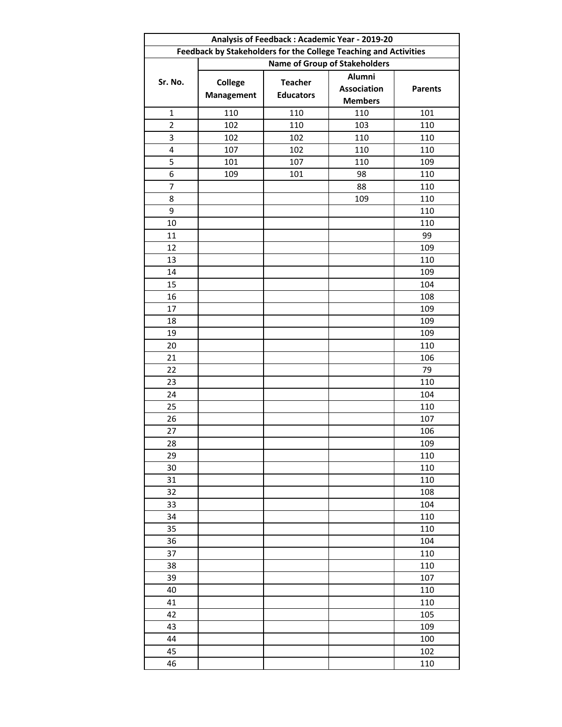| Analysis of Feedback: Academic Year - 2019-20 |                                                                  |                                      |                    |                |  |  |  |
|-----------------------------------------------|------------------------------------------------------------------|--------------------------------------|--------------------|----------------|--|--|--|
|                                               | Feedback by Stakeholders for the College Teaching and Activities |                                      |                    |                |  |  |  |
|                                               |                                                                  | <b>Name of Group of Stakeholders</b> |                    |                |  |  |  |
| Sr. No.                                       |                                                                  | <b>Teacher</b>                       | Alumni             |                |  |  |  |
|                                               | <b>College</b><br><b>Management</b>                              | <b>Educators</b>                     | <b>Association</b> | <b>Parents</b> |  |  |  |
|                                               |                                                                  |                                      | <b>Members</b>     |                |  |  |  |
| $\mathbf 1$                                   | 110                                                              | 110                                  | 110                | 101            |  |  |  |
| $\overline{2}$                                | 102                                                              | 110                                  | 103                | 110            |  |  |  |
| 3                                             | 102                                                              | 102                                  | 110                | 110            |  |  |  |
| 4                                             | 107                                                              | 102                                  | 110                | 110            |  |  |  |
| 5                                             | 101                                                              | 107                                  | 110                | 109            |  |  |  |
| 6                                             | 109                                                              | 101                                  | 98                 | 110            |  |  |  |
| $\overline{7}$                                |                                                                  |                                      | 88                 | 110            |  |  |  |
| 8                                             |                                                                  |                                      | 109                | 110            |  |  |  |
| 9                                             |                                                                  |                                      |                    | 110            |  |  |  |
| 10                                            |                                                                  |                                      |                    | 110            |  |  |  |
| 11                                            |                                                                  |                                      |                    | 99             |  |  |  |
| 12                                            |                                                                  |                                      |                    | 109            |  |  |  |
| 13                                            |                                                                  |                                      |                    | 110            |  |  |  |
| 14                                            |                                                                  |                                      |                    | 109            |  |  |  |
| 15                                            |                                                                  |                                      |                    | 104            |  |  |  |
| 16                                            |                                                                  |                                      |                    | 108            |  |  |  |
| 17                                            |                                                                  |                                      |                    | 109            |  |  |  |
| 18                                            |                                                                  |                                      |                    | 109            |  |  |  |
| 19                                            |                                                                  |                                      |                    | 109            |  |  |  |
| 20                                            |                                                                  |                                      |                    | 110            |  |  |  |
| 21                                            |                                                                  |                                      |                    | 106            |  |  |  |
| 22                                            |                                                                  |                                      |                    | 79             |  |  |  |
| 23                                            |                                                                  |                                      |                    | 110            |  |  |  |
| 24                                            |                                                                  |                                      |                    | 104            |  |  |  |
| 25                                            |                                                                  |                                      |                    | 110            |  |  |  |
| 26                                            |                                                                  |                                      |                    | 107            |  |  |  |
| 27                                            |                                                                  |                                      |                    | 106            |  |  |  |
| 28                                            |                                                                  |                                      |                    | 109            |  |  |  |
| 29                                            |                                                                  |                                      |                    | 110            |  |  |  |
| 30                                            |                                                                  |                                      |                    | 110            |  |  |  |
| 31                                            |                                                                  |                                      |                    | 110            |  |  |  |
| 32                                            |                                                                  |                                      |                    | 108            |  |  |  |
| 33                                            |                                                                  |                                      |                    | 104            |  |  |  |
| 34                                            |                                                                  |                                      |                    | 110            |  |  |  |
| 35                                            |                                                                  |                                      |                    | 110            |  |  |  |
| 36                                            |                                                                  |                                      |                    | 104            |  |  |  |
| 37                                            |                                                                  |                                      |                    | 110            |  |  |  |
| 38                                            |                                                                  |                                      |                    | 110            |  |  |  |
| 39                                            |                                                                  |                                      |                    | 107            |  |  |  |
| 40                                            |                                                                  |                                      |                    | 110            |  |  |  |
| 41                                            |                                                                  |                                      |                    | 110            |  |  |  |
| 42                                            |                                                                  |                                      |                    | 105            |  |  |  |
| 43                                            |                                                                  |                                      |                    | 109            |  |  |  |
| 44                                            |                                                                  |                                      |                    | 100            |  |  |  |
| 45                                            |                                                                  |                                      |                    | 102            |  |  |  |
| 46                                            |                                                                  |                                      |                    | 110            |  |  |  |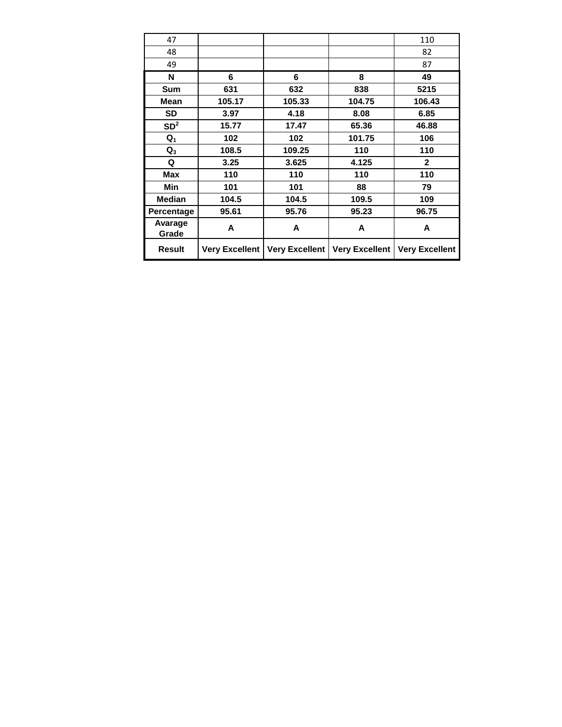| 47               |                       |                       |                       | 110                   |
|------------------|-----------------------|-----------------------|-----------------------|-----------------------|
| 48               |                       |                       |                       | 82                    |
| 49               |                       |                       |                       | 87                    |
| N                | 6                     | 6                     | 8                     | 49                    |
| <b>Sum</b>       | 631                   | 632                   | 838                   | 5215                  |
| Mean             | 105.17                | 105.33                | 104.75                | 106.43                |
| <b>SD</b>        | 3.97                  | 4.18                  | 8.08                  | 6.85                  |
| SD <sup>2</sup>  | 15.77                 | 17.47                 | 65.36                 | 46.88                 |
| $Q_1$            | 102                   | 102                   | 101.75                | 106                   |
| $\mathbf{Q}_3$   | 108.5                 | 109.25                | 110                   | 110                   |
| Q                | 3.25                  | 3.625                 | 4.125                 | $\overline{2}$        |
| <b>Max</b>       | 110                   | 110                   | 110                   | 110                   |
| Min              | 101                   | 101                   | 88                    | 79                    |
| <b>Median</b>    | 104.5                 | 104.5                 | 109.5                 | 109                   |
| Percentage       | 95.61                 | 95.76                 | 95.23                 | 96.75                 |
| Avarage<br>Grade | A                     | A                     | A                     | A                     |
| <b>Result</b>    | <b>Very Excellent</b> | <b>Very Excellent</b> | <b>Very Excellent</b> | <b>Very Excellent</b> |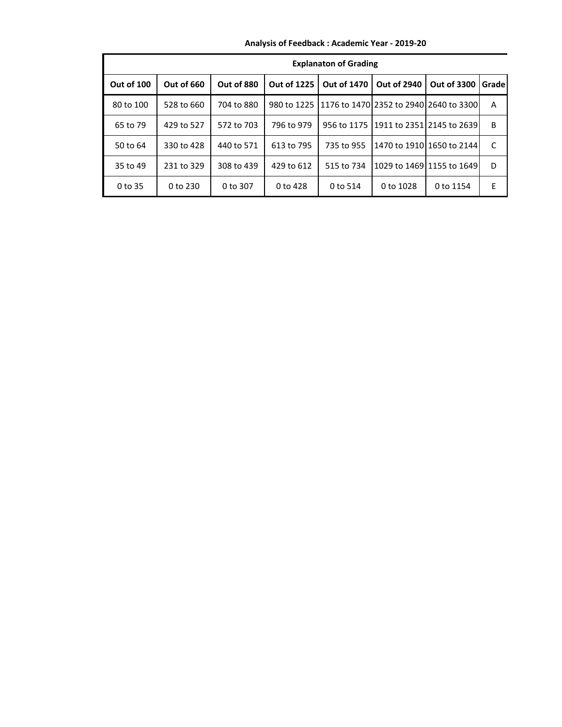|            | <b>Explanaton of Grading</b> |            |                    |                                                          |                    |                                        |       |  |
|------------|------------------------------|------------|--------------------|----------------------------------------------------------|--------------------|----------------------------------------|-------|--|
| Out of 100 | <b>Out of 660</b>            | Out of 880 | <b>Out of 1225</b> | <b>Out of 1470</b>                                       | <b>Out of 2940</b> | <b>Out of 3300</b>                     | Grade |  |
| 80 to 100  | 528 to 660                   | 704 to 880 |                    | 980 to 1225   1176 to 1470   2352 to 2940   2640 to 3300 |                    |                                        | A     |  |
| 65 to 79   | 429 to 527                   | 572 to 703 | 796 to 979         |                                                          |                    | 956 to 1175 11911 to 2351 2145 to 2639 | B     |  |
| 50 to 64   | 330 to 428                   | 440 to 571 | 613 to 795         | 735 to 955                                               |                    | 1470 to 1910 1650 to 2144              | C     |  |
| 35 to 49   | 231 to 329                   | 308 to 439 | 429 to 612         | 515 to 734                                               |                    | 1029 to 1469 1155 to 1649              | D     |  |
| 0 to 35    | 0 to 230                     | 0 to 307   | 0 to 428           | 0 to 514                                                 | 0 to 1028          | 0 to 1154                              | Е     |  |

**Analysis of Feedback : Academic Year - 2019-20**